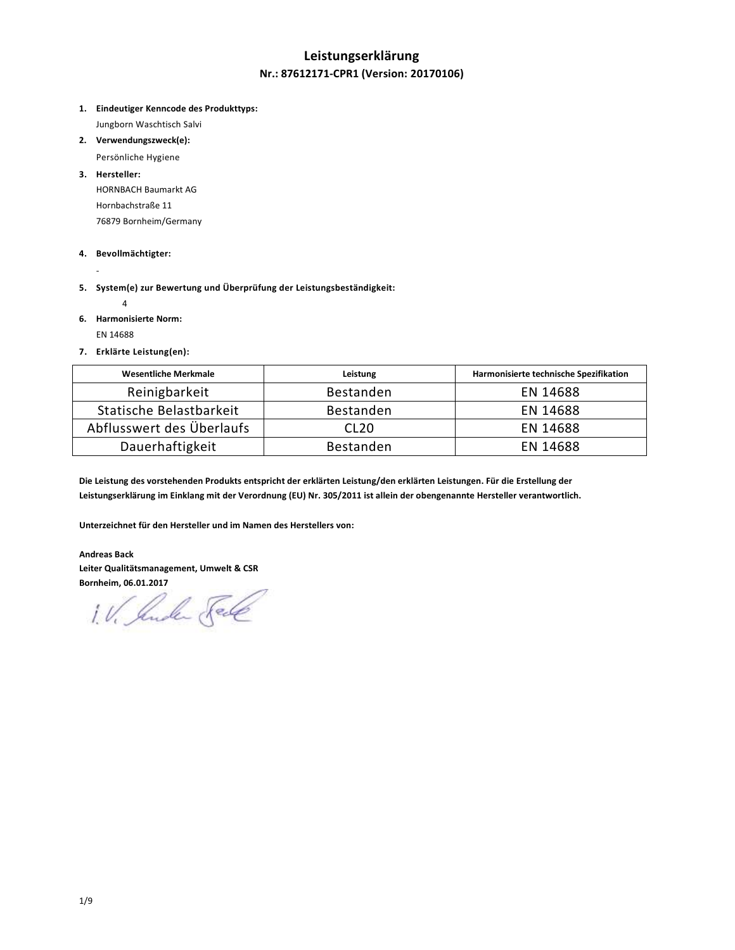# **Leistungserklärung Nr.: 87612171-CPR1 (Version: 20170106)**

**1. Eindeutiger Kenncode des Produkttyps:**

Jungborn Waschtisch Salvi

**2. Verwendungszweck(e):** 

Persönliche Hygiene

**3. Hersteller:** 

HORNBACH Baumarkt AG Hornbachstraße 11 76879 Bornheim/Germany

### **4. Bevollmächtigter:**

- **5. System(e) zur Bewertung und Überprüfung der Leistungsbeständigkeit:** 
	- 4
- **6. Harmonisierte Norm:**

EN 14688

-

**7. Erklärte Leistung(en):** 

| <b>Wesentliche Merkmale</b> | Leistung         | Harmonisierte technische Spezifikation |
|-----------------------------|------------------|----------------------------------------|
| Reinigbarkeit               | Bestanden        | EN 14688                               |
| Statische Belastbarkeit     | Bestanden        | EN 14688                               |
| Abflusswert des Überlaufs   | CL <sub>20</sub> | EN 14688                               |
| Dauerhaftigkeit             | <b>Bestanden</b> | EN 14688                               |

**Die Leistung des vorstehenden Produkts entspricht der erklärten Leistung/den erklärten Leistungen. Für die Erstellung der Leistungserklärung im Einklang mit der Verordnung (EU) Nr. 305/2011 ist allein der obengenannte Hersteller verantwortlich.** 

**Unterzeichnet für den Hersteller und im Namen des Herstellers von:** 

**Andreas Back Leiter Qualitätsmanagement, Umwelt & CSR Bornheim, 06.01.2017** 

1. V. Suche Sele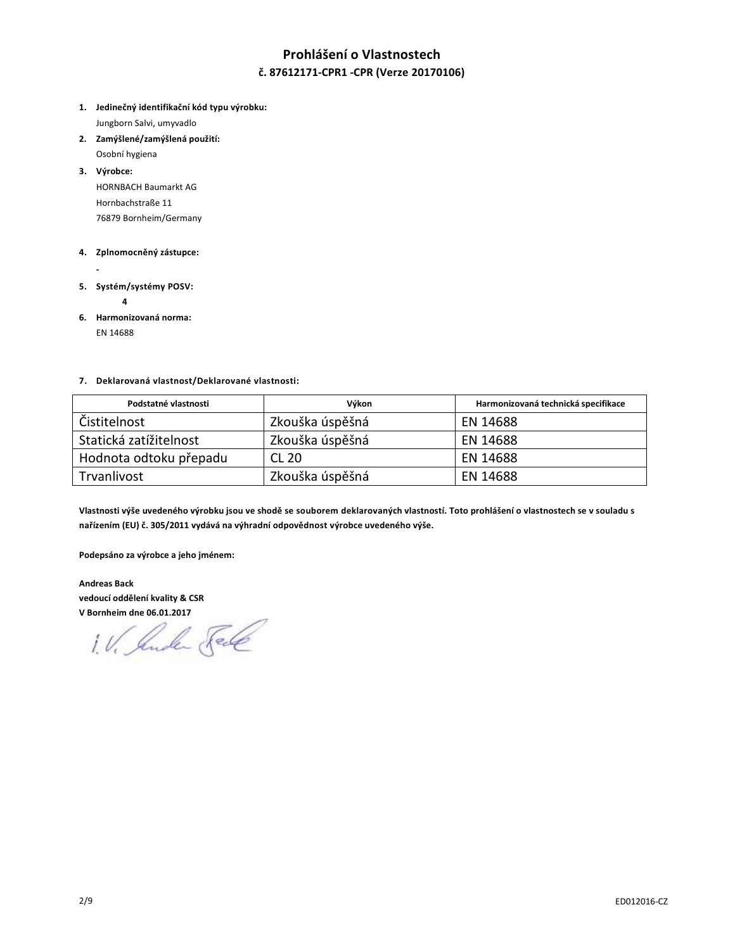# **Prohlášení o Vlastnostech č. 87612171-CPR1 -CPR (Verze 20170106)**

- **1. Jedinečný identifikační kód typu výrobku:** Jungborn Salvi, umyvadlo
- **2. Zamýšlené/zamýšlená použití:**
- Osobní hygiena **3. Výrobce:**  HORNBACH Baumarkt AG

Hornbachstraße 11 76879 Bornheim/Germany

### **4. Zplnomocněný zástupce:**

- **5. Systém/systémy POSV:** 
	- **4**
- **6. Harmonizovaná norma:**

EN 14688

### **7. Deklarovaná vlastnost/Deklarované vlastnosti:**

| Podstatné vlastnosti   | Výkon           | Harmonizovaná technická specifikace |
|------------------------|-----------------|-------------------------------------|
| Čistitelnost           | Zkouška úspěšná | EN 14688                            |
| Statická zatížitelnost | Zkouška úspěšná | EN 14688                            |
| Hodnota odtoku přepadu | CL 20           | EN 14688                            |
| Trvanlivost            | Zkouška úspěšná | EN 14688                            |

**Vlastnosti výše uvedeného výrobku jsou ve shodě se souborem deklarovaných vlastností. Toto prohlášení o vlastnostech se v souladu s nařízením (EU) č. 305/2011 vydává na výhradní odpovědnost výrobce uvedeného výše.** 

**Podepsáno za výrobce a jeho jménem:** 

**Andreas Back vedoucí oddělení kvality & CSR** 

**V Bornheim dne 06.01.2017**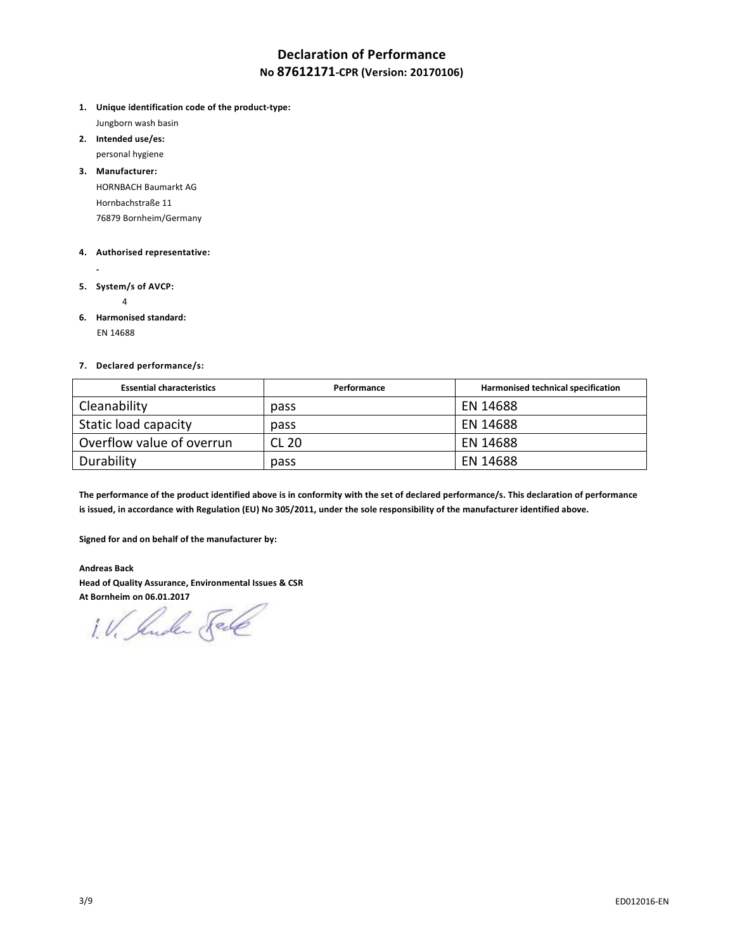# **Declaration of Performance No 87612171-CPR (Version: 20170106)**

- **1. Unique identification code of the product-type:** Jungborn wash basin
- **2. Intended use/es:**  personal hygiene
- **3. Manufacturer:**  HORNBACH Baumarkt AG Hornbachstraße 11

76879 Bornheim/Germany

### **4. Authorised representative:**

- 
- **5. System/s of AVCP:** 
	- 4
- **6. Harmonised standard:** EN 14688

### **7. Declared performance/s:**

| <b>Essential characteristics</b> | Performance  | Harmonised technical specification |
|----------------------------------|--------------|------------------------------------|
| Cleanability                     | pass         | EN 14688                           |
| Static load capacity             | pass         | EN 14688                           |
| Overflow value of overrun        | <b>CL 20</b> | EN 14688                           |
| Durability                       | pass         | EN 14688                           |

**The performance of the product identified above is in conformity with the set of declared performance/s. This declaration of performance is issued, in accordance with Regulation (EU) No 305/2011, under the sole responsibility of the manufacturer identified above.** 

**Signed for and on behalf of the manufacturer by:** 

**Andreas Back Head of Quality Assurance, Environmental Issues & CSR** 

At Bornheim on 06.01.2017<br>1. V. *Jule Fell*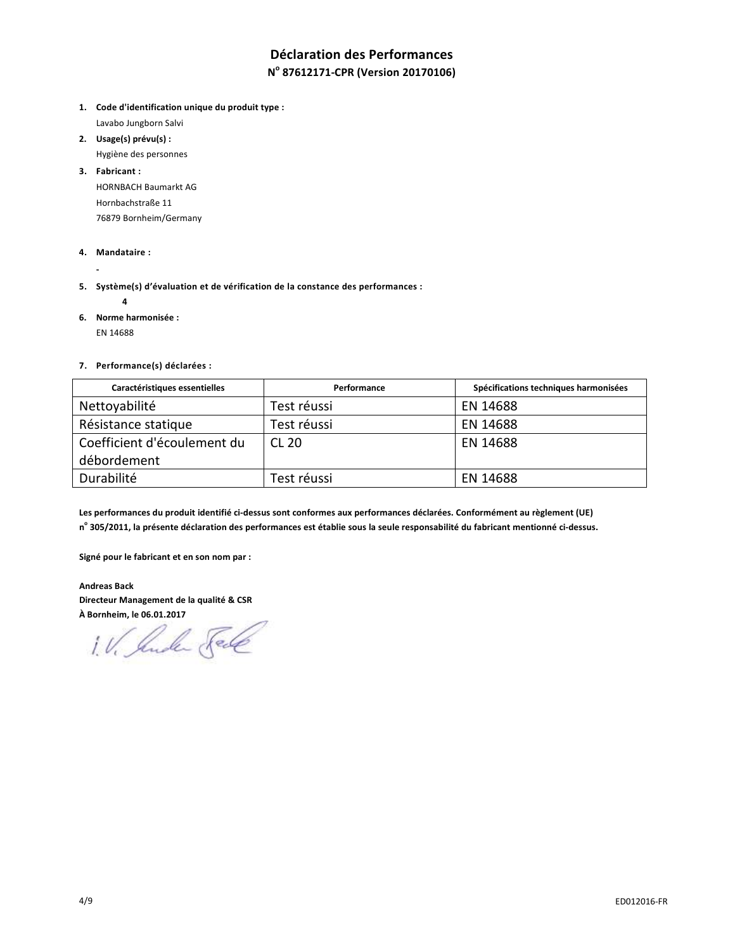# **Déclaration des Performances**

## **N o 87612171-CPR (Version 20170106)**

- **1. Code d'identification unique du produit type :** Lavabo Jungborn Salvi
- **2. Usage(s) prévu(s) :**
- Hygiène des personnes
- **3. Fabricant :**

HORNBACH Baumarkt AG Hornbachstraße 11 76879 Bornheim/Germany

**4. Mandataire :** 

 **-** 

- **5. Système(s) d'évaluation et de vérification de la constance des performances :** 
	- **4**
- **6. Norme harmonisée :**

EN 14688

**7. Performance(s) déclarées :** 

| Caractéristiques essentielles | Performance | Spécifications techniques harmonisées |
|-------------------------------|-------------|---------------------------------------|
| Nettoyabilité                 | Test réussi | EN 14688                              |
| Résistance statique           | Test réussi | EN 14688                              |
| Coefficient d'écoulement du   | CL 20       | EN 14688                              |
| débordement                   |             |                                       |
| Durabilité                    | Test réussi | EN 14688                              |

**Les performances du produit identifié ci-dessus sont conformes aux performances déclarées. Conformément au règlement (UE) n o 305/2011, la présente déclaration des performances est établie sous la seule responsabilité du fabricant mentionné ci-dessus.** 

**Signé pour le fabricant et en son nom par :** 

**Andreas Back Directeur Management de la qualité & CSR** 

**À Bornheim, le 06.01.2017**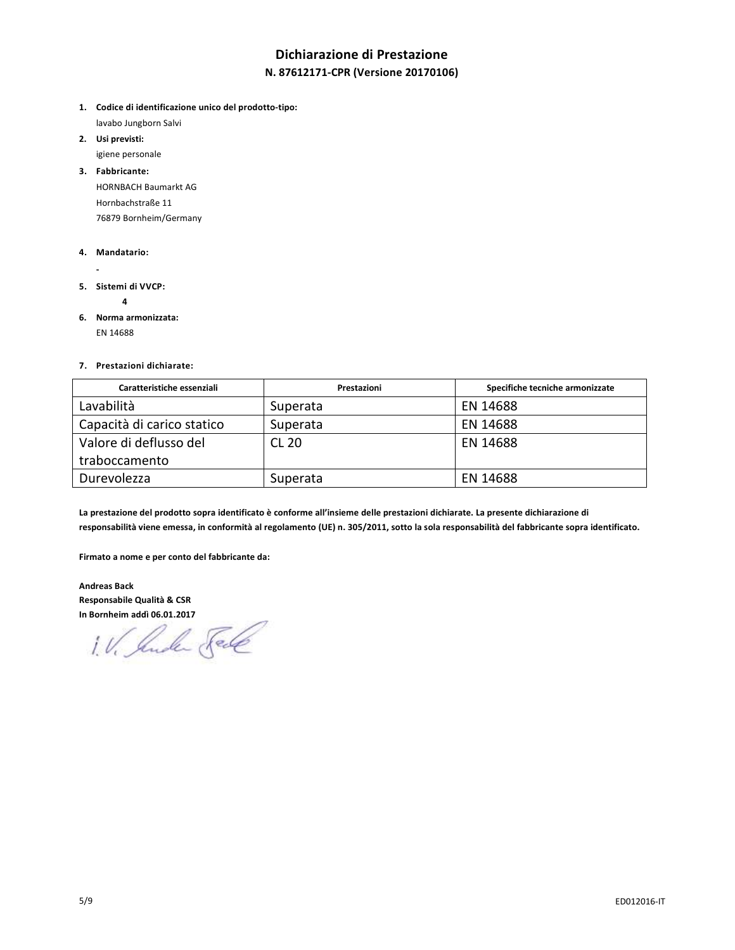# **Dichiarazione di Prestazione**

### **N. 87612171-CPR (Versione 20170106)**

- **1. Codice di identificazione unico del prodotto-tipo:** lavabo Jungborn Salvi
- **2. Usi previsti:**
- igiene personale

**3. Fabbricante:**  HORNBACH Baumarkt AG Hornbachstraße 11 76879 Bornheim/Germany

### **4. Mandatario:**

- 
- **5. Sistemi di VVCP:** 
	- **4**
- **6. Norma armonizzata:**  EN 14688

### **7. Prestazioni dichiarate:**

| Caratteristiche essenziali | Prestazioni  | Specifiche tecniche armonizzate |
|----------------------------|--------------|---------------------------------|
| Lavabilità                 | Superata     | EN 14688                        |
| Capacità di carico statico | Superata     | EN 14688                        |
| Valore di deflusso del     | <b>CL 20</b> | EN 14688                        |
| traboccamento              |              |                                 |
| Durevolezza                | Superata     | EN 14688                        |

**La prestazione del prodotto sopra identificato è conforme all'insieme delle prestazioni dichiarate. La presente dichiarazione di responsabilità viene emessa, in conformità al regolamento (UE) n. 305/2011, sotto la sola responsabilità del fabbricante sopra identificato.** 

**Firmato a nome e per conto del fabbricante da:** 

**Andreas Back Responsabile Qualità & CSR** 

**In Bornheim addi 06.01.2017**<br>1. V. Surele Fele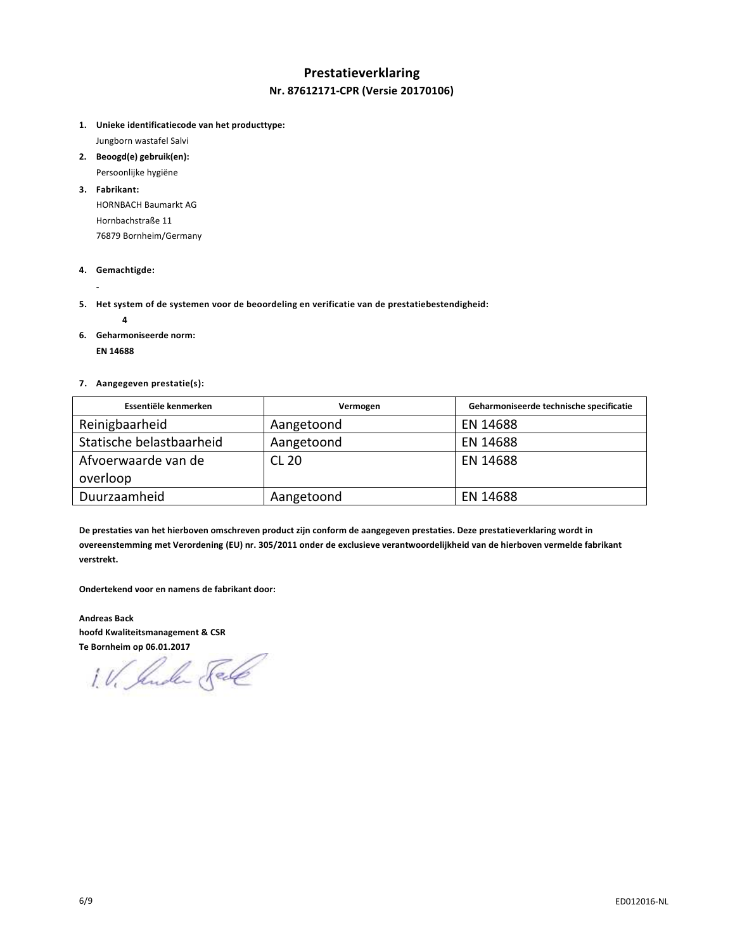## **Prestatieverklaring Nr. 87612171-CPR (Versie 20170106)**

**1. Unieke identificatiecode van het producttype:**

Jungborn wastafel Salvi

- **2. Beoogd(e) gebruik(en):**  Persoonlijke hygiëne
- **3. Fabrikant:**  HORNBACH Baumarkt AG Hornbachstraße 11 76879 Bornheim/Germany
- **4. Gemachtigde:**
- **5. Het system of de systemen voor de beoordeling en verificatie van de prestatiebestendigheid:** 
	-

 **-** 

**6. Geharmoniseerde norm:** 

 **EN 14688** 

 **4** 

**7. Aangegeven prestatie(s):** 

| Essentiële kenmerken     | Vermogen     | Geharmoniseerde technische specificatie |
|--------------------------|--------------|-----------------------------------------|
| Reinigbaarheid           | Aangetoond   | EN 14688                                |
| Statische belastbaarheid | Aangetoond   | EN 14688                                |
| Afvoerwaarde van de      | <b>CL 20</b> | EN 14688                                |
| overloop                 |              |                                         |
| Duurzaamheid             | Aangetoond   | EN 14688                                |

**De prestaties van het hierboven omschreven product zijn conform de aangegeven prestaties. Deze prestatieverklaring wordt in overeenstemming met Verordening (EU) nr. 305/2011 onder de exclusieve verantwoordelijkheid van de hierboven vermelde fabrikant verstrekt.** 

**Ondertekend voor en namens de fabrikant door:** 

**Andreas Back hoofd Kwaliteitsmanagement & CSR** 

Te Bornheim op 06.01.2017<br>1. V. *Jude* Fell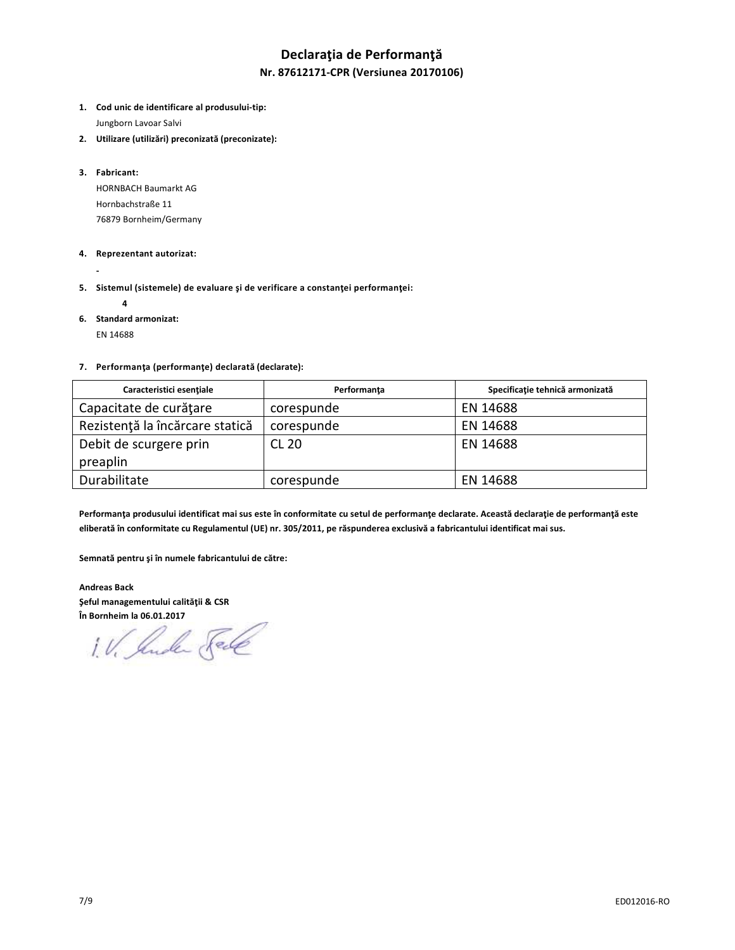## **Declaraţia de Performanţă**

### **Nr. 87612171-CPR (Versiunea 20170106)**

- **1. Cod unic de identificare al produsului-tip:** Jungborn Lavoar Salvi
- **2. Utilizare (utilizări) preconizată (preconizate):**
- **3. Fabricant:**

HORNBACH Baumarkt AG Hornbachstraße 11 76879 Bornheim/Germany

### **4. Reprezentant autorizat:**

- **5. Sistemul (sistemele) de evaluare şi de verificare a constanţei performanţei:** 
	- **4**

 **-** 

**6. Standard armonizat:** 

EN 14688

#### **7. Performanţa (performanţe) declarată (declarate):**

| Caracteristici esentiale        | Performanta | Specificație tehnică armonizață |
|---------------------------------|-------------|---------------------------------|
| Capacitate de curățare          | corespunde  | EN 14688                        |
| Rezistență la încărcare statică | corespunde  | EN 14688                        |
| Debit de scurgere prin          | CL 20       | EN 14688                        |
| preaplin                        |             |                                 |
| Durabilitate                    | corespunde  | EN 14688                        |

**Performanţa produsului identificat mai sus este în conformitate cu setul de performanţe declarate. Această declaraţie de performanţă este eliberată în conformitate cu Regulamentul (UE) nr. 305/2011, pe răspunderea exclusivă a fabricantului identificat mai sus.** 

**Semnată pentru şi în numele fabricantului de către:**

**Andreas Back Şeful managementului calităţii & CSR** 

**În Bornheim la 06.01.2017**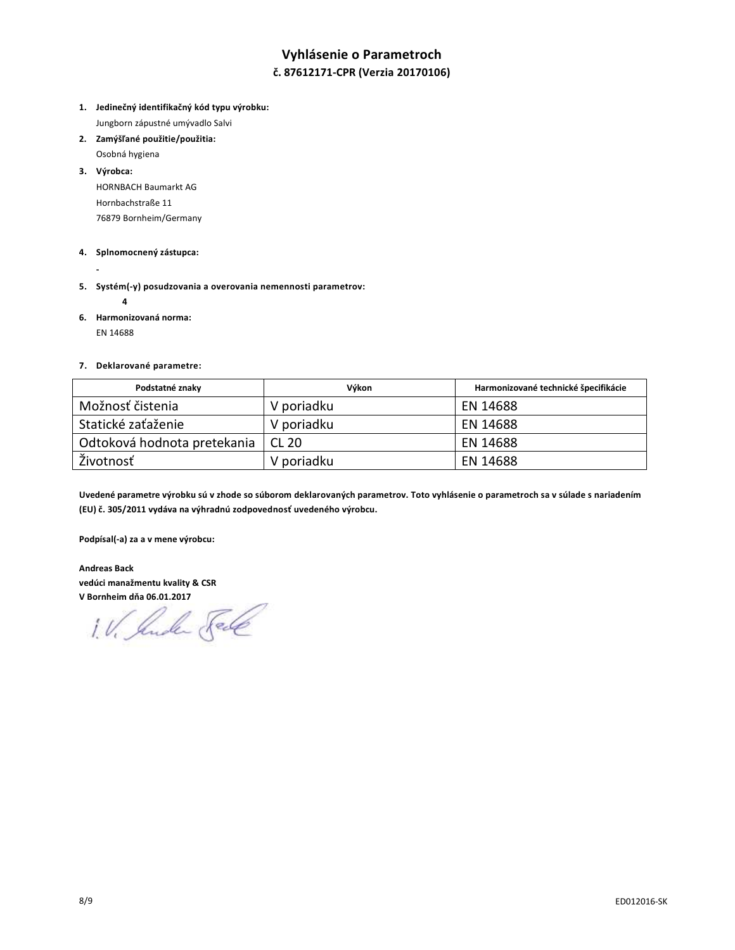# **Vyhlásenie o Parametroch č. 87612171-CPR (Verzia 20170106)**

- **1. Jedinečný identifikačný kód typu výrobku:** Jungborn zápustné umývadlo Salvi
- **2. Zamýšľané použitie/použitia:**  Osobná hygiena
- **3. Výrobca:**

HORNBACH Baumarkt AG Hornbachstraße 11 76879 Bornheim/Germany

### **4. Splnomocnený zástupca:**

- 
- **5. Systém(-y) posudzovania a overovania nemennosti parametrov:** 
	- **4**
- **6. Harmonizovaná norma:**

EN 14688

### **7. Deklarované parametre:**

| Podstatné znaky             | Výkon        | Harmonizované technické špecifikácie |
|-----------------------------|--------------|--------------------------------------|
| Možnosť čistenia            | V poriadku   | EN 14688                             |
| Statické zaťaženie          | V poriadku   | EN 14688                             |
| Odtoková hodnota pretekania | <b>CL 20</b> | EN 14688                             |
| Životnosť                   | V poriadku   | EN 14688                             |

**Uvedené parametre výrobku sú v zhode so súborom deklarovaných parametrov. Toto vyhlásenie o parametroch sa v súlade s nariadením (EU) č. 305/2011 vydáva na výhradnú zodpovednosť uvedeného výrobcu.** 

**Podpísal(-a) za a v mene výrobcu:** 

**Andreas Back vedúci manažmentu kvality & CSR** 

**V Bornheim dňa 06.01.2017**